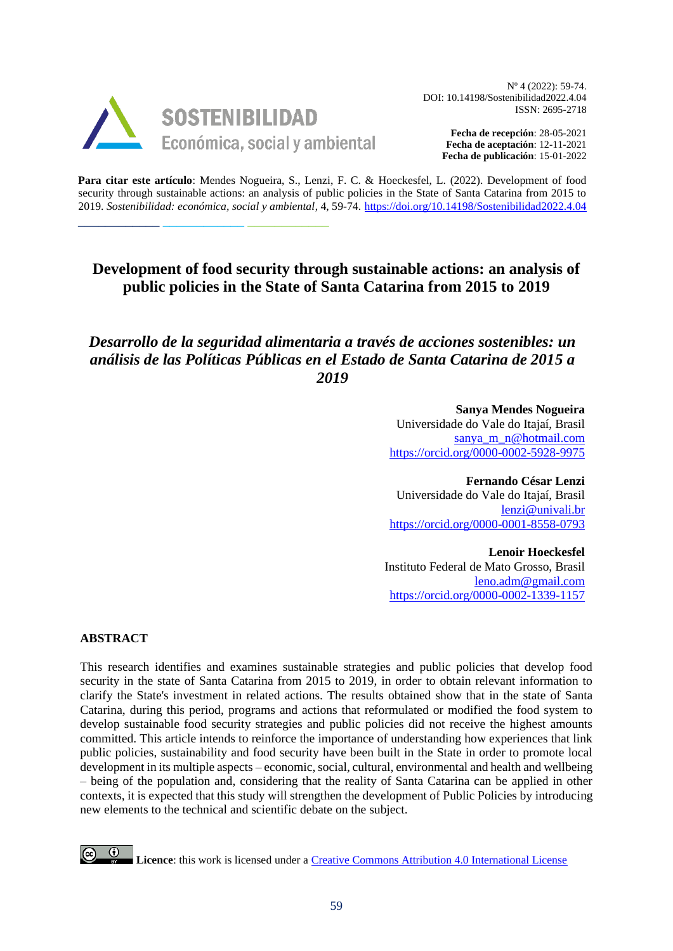

\_\_\_\_\_\_\_\_\_\_\_\_ \_\_\_\_\_\_\_\_\_\_\_\_ \_\_\_\_\_\_\_\_\_\_\_\_

Nº 4 (2022): 59-74. DOI: 10.14198/Sostenibilidad2022.4.04 ISSN: 2695-2718

> **Fecha de recepción**: 28-05-2021 **Fecha de aceptación**: 12-11-2021 **Fecha de publicación**: 15-01-2022

**Para citar este artículo**: Mendes Nogueira, S., Lenzi, F. C. & Hoeckesfel, L. (2022). Development of food security through sustainable actions: an analysis of public policies in the State of Santa Catarina from 2015 to 2019. *Sostenibilidad: económica, social y ambiental*, 4, 59-74. <https://doi.org/10.14198/Sostenibilidad2022.4.04>

# **Development of food security through sustainable actions: an analysis of public policies in the State of Santa Catarina from 2015 to 2019**

# *Desarrollo de la seguridad alimentaria a través de acciones sostenibles: un análisis de las Políticas Públicas en el Estado de Santa Catarina de 2015 a 2019*

**Sanya Mendes Nogueira** Universidade do Vale do Itajaí, Brasil [sanya\\_m\\_n@hotmail.com](mailto:sanya_m_n@hotmail.com) <https://orcid.org/0000-0002-5928-9975>

**Fernando César Lenzi** Universidade do Vale do Itajaí, Brasil [lenzi@univali.br](mailto:lenzi@univali.br) <https://orcid.org/0000-0001-8558-0793>

**Lenoir Hoeckesfel** Instituto Federal de Mato Grosso, Brasil [leno.adm@gmail.com](mailto:leno.adm@gmail.com) <https://orcid.org/0000-0002-1339-1157>

#### **ABSTRACT**

This research identifies and examines sustainable strategies and public policies that develop food security in the state of Santa Catarina from 2015 to 2019, in order to obtain relevant information to clarify the State's investment in related actions. The results obtained show that in the state of Santa Catarina, during this period, programs and actions that reformulated or modified the food system to develop sustainable food security strategies and public policies did not receive the highest amounts committed. This article intends to reinforce the importance of understanding how experiences that link public policies, sustainability and food security have been built in the State in order to promote local development in its multiple aspects – economic, social, cultural, environmental and health and wellbeing – being of the population and, considering that the reality of Santa Catarina can be applied in other contexts, it is expected that this study will strengthen the development of Public Policies by introducing new elements to the technical and scientific debate on the subject.

**Licence**: this work is licensed under a [Creative Commons Attribution 4.0 International License](http://creativecommons.org/licenses/by/4.0/)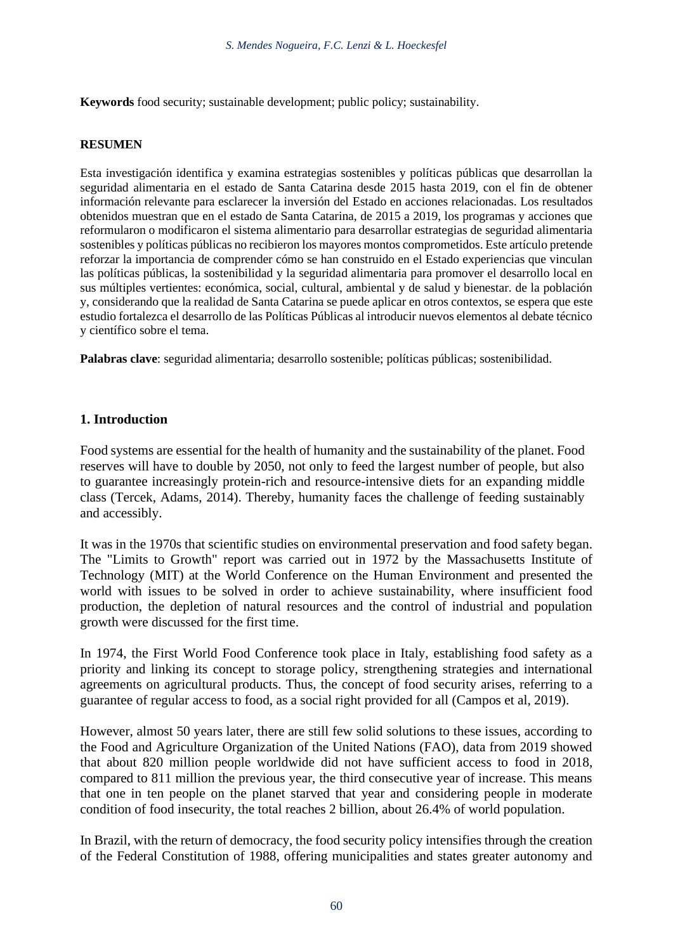**Keywords** food security; sustainable development; public policy; sustainability.

#### **RESUMEN**

Esta investigación identifica y examina estrategias sostenibles y políticas públicas que desarrollan la seguridad alimentaria en el estado de Santa Catarina desde 2015 hasta 2019, con el fin de obtener información relevante para esclarecer la inversión del Estado en acciones relacionadas. Los resultados obtenidos muestran que en el estado de Santa Catarina, de 2015 a 2019, los programas y acciones que reformularon o modificaron el sistema alimentario para desarrollar estrategias de seguridad alimentaria sostenibles y políticas públicas no recibieron los mayores montos comprometidos. Este artículo pretende reforzar la importancia de comprender cómo se han construido en el Estado experiencias que vinculan las políticas públicas, la sostenibilidad y la seguridad alimentaria para promover el desarrollo local en sus múltiples vertientes: económica, social, cultural, ambiental y de salud y bienestar. de la población y, considerando que la realidad de Santa Catarina se puede aplicar en otros contextos, se espera que este estudio fortalezca el desarrollo de las Políticas Públicas al introducir nuevos elementos al debate técnico y científico sobre el tema.

**Palabras clave**: seguridad alimentaria; desarrollo sostenible; políticas públicas; sostenibilidad.

### **1. Introduction**

Food systems are essential for the health of humanity and the sustainability of the planet. Food reserves will have to double by 2050, not only to feed the largest number of people, but also to guarantee increasingly protein-rich and resource-intensive diets for an expanding middle class (Tercek, Adams, 2014). Thereby, humanity faces the challenge of feeding sustainably and accessibly.

It was in the 1970s that scientific studies on environmental preservation and food safety began. The "Limits to Growth" report was carried out in 1972 by the Massachusetts Institute of Technology (MIT) at the World Conference on the Human Environment and presented the world with issues to be solved in order to achieve sustainability, where insufficient food production, the depletion of natural resources and the control of industrial and population growth were discussed for the first time.

In 1974, the First World Food Conference took place in Italy, establishing food safety as a priority and linking its concept to storage policy, strengthening strategies and international agreements on agricultural products. Thus, the concept of food security arises, referring to a guarantee of regular access to food, as a social right provided for all (Campos et al, 2019).

However, almost 50 years later, there are still few solid solutions to these issues, according to the Food and Agriculture Organization of the United Nations (FAO), data from 2019 showed that about 820 million people worldwide did not have sufficient access to food in 2018, compared to 811 million the previous year, the third consecutive year of increase. This means that one in ten people on the planet starved that year and considering people in moderate condition of food insecurity, the total reaches 2 billion, about 26.4% of world population.

In Brazil, with the return of democracy, the food security policy intensifies through the creation of the Federal Constitution of 1988, offering municipalities and states greater autonomy and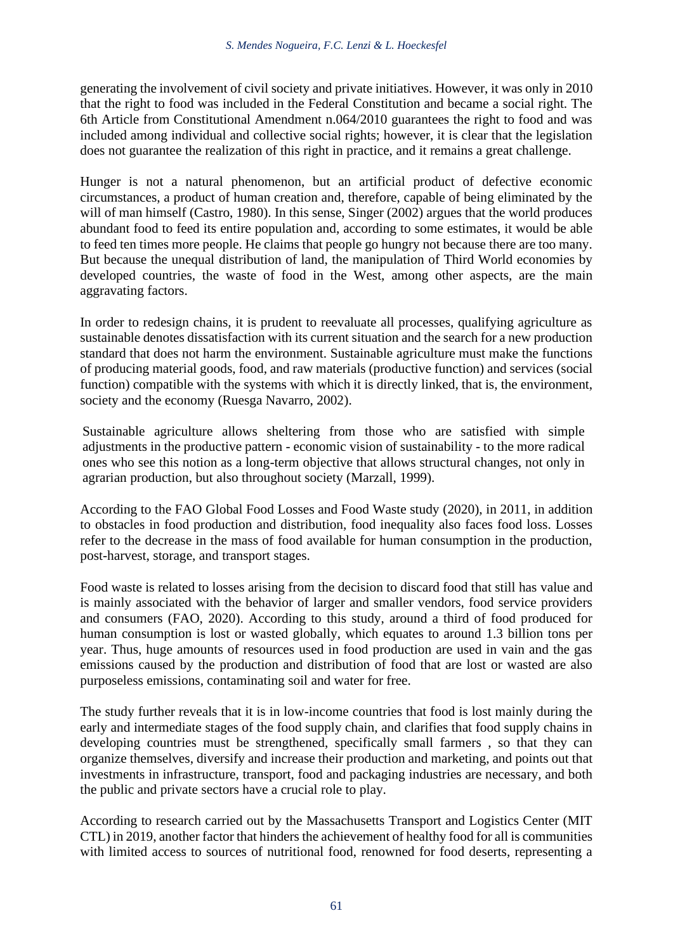generating the involvement of civil society and private initiatives. However, it was only in 2010 that the right to food was included in the Federal Constitution and became a social right. The 6th Article from Constitutional Amendment n.064/2010 guarantees the right to food and was included among individual and collective social rights; however, it is clear that the legislation does not guarantee the realization of this right in practice, and it remains a great challenge.

Hunger is not a natural phenomenon, but an artificial product of defective economic circumstances, a product of human creation and, therefore, capable of being eliminated by the will of man himself (Castro, 1980). In this sense, Singer (2002) argues that the world produces abundant food to feed its entire population and, according to some estimates, it would be able to feed ten times more people. He claims that people go hungry not because there are too many. But because the unequal distribution of land, the manipulation of Third World economies by developed countries, the waste of food in the West, among other aspects, are the main aggravating factors.

In order to redesign chains, it is prudent to reevaluate all processes, qualifying agriculture as sustainable denotes dissatisfaction with its current situation and the search for a new production standard that does not harm the environment. Sustainable agriculture must make the functions of producing material goods, food, and raw materials (productive function) and services (social function) compatible with the systems with which it is directly linked, that is, the environment, society and the economy (Ruesga Navarro, 2002).

Sustainable agriculture allows sheltering from those who are satisfied with simple adjustments in the productive pattern - economic vision of sustainability - to the more radical ones who see this notion as a long-term objective that allows structural changes, not only in agrarian production, but also throughout society (Marzall, 1999).

According to the FAO Global Food Losses and Food Waste study (2020), in 2011, in addition to obstacles in food production and distribution, food inequality also faces food loss. Losses refer to the decrease in the mass of food available for human consumption in the production, post-harvest, storage, and transport stages.

Food waste is related to losses arising from the decision to discard food that still has value and is mainly associated with the behavior of larger and smaller vendors, food service providers and consumers (FAO, 2020). According to this study, around a third of food produced for human consumption is lost or wasted globally, which equates to around 1.3 billion tons per year. Thus, huge amounts of resources used in food production are used in vain and the gas emissions caused by the production and distribution of food that are lost or wasted are also purposeless emissions, contaminating soil and water for free.

The study further reveals that it is in low-income countries that food is lost mainly during the early and intermediate stages of the food supply chain, and clarifies that food supply chains in developing countries must be strengthened, specifically small farmers , so that they can organize themselves, diversify and increase their production and marketing, and points out that investments in infrastructure, transport, food and packaging industries are necessary, and both the public and private sectors have a crucial role to play.

According to research carried out by the Massachusetts Transport and Logistics Center (MIT CTL) in 2019, another factor that hinders the achievement of healthy food for all is communities with limited access to sources of nutritional food, renowned for food deserts, representing a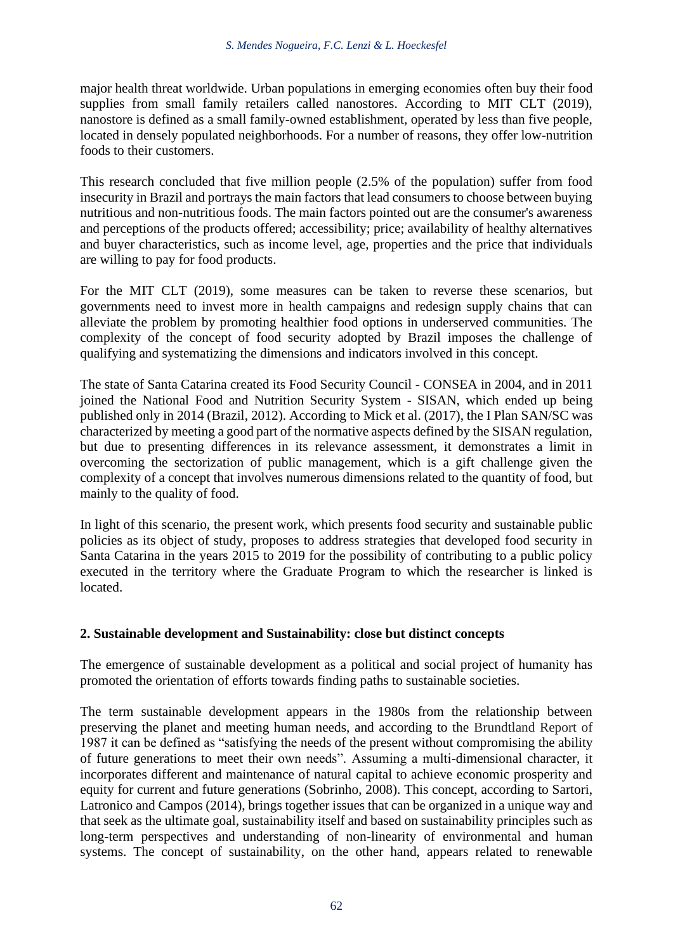major health threat worldwide. Urban populations in emerging economies often buy their food supplies from small family retailers called nanostores. According to MIT CLT (2019), nanostore is defined as a small family-owned establishment, operated by less than five people, located in densely populated neighborhoods. For a number of reasons, they offer low-nutrition foods to their customers.

This research concluded that five million people (2.5% of the population) suffer from food insecurity in Brazil and portrays the main factors that lead consumers to choose between buying nutritious and non-nutritious foods. The main factors pointed out are the consumer's awareness and perceptions of the products offered; accessibility; price; availability of healthy alternatives and buyer characteristics, such as income level, age, properties and the price that individuals are willing to pay for food products.

For the MIT CLT (2019), some measures can be taken to reverse these scenarios, but governments need to invest more in health campaigns and redesign supply chains that can alleviate the problem by promoting healthier food options in underserved communities. The complexity of the concept of food security adopted by Brazil imposes the challenge of qualifying and systematizing the dimensions and indicators involved in this concept.

The state of Santa Catarina created its Food Security Council - CONSEA in 2004, and in 2011 joined the National Food and Nutrition Security System - SISAN, which ended up being published only in 2014 (Brazil, 2012). According to Mick et al. (2017), the I Plan SAN/SC was characterized by meeting a good part of the normative aspects defined by the SISAN regulation, but due to presenting differences in its relevance assessment, it demonstrates a limit in overcoming the sectorization of public management, which is a gift challenge given the complexity of a concept that involves numerous dimensions related to the quantity of food, but mainly to the quality of food.

In light of this scenario, the present work, which presents food security and sustainable public policies as its object of study, proposes to address strategies that developed food security in Santa Catarina in the years 2015 to 2019 for the possibility of contributing to a public policy executed in the territory where the Graduate Program to which the researcher is linked is located.

# **2. Sustainable development and Sustainability: close but distinct concepts**

The emergence of sustainable development as a political and social project of humanity has promoted the orientation of efforts towards finding paths to sustainable societies.

The term sustainable development appears in the 1980s from the relationship between preserving the planet and meeting human needs, and according to the Brundtland Report of 1987 it can be defined as "satisfying the needs of the present without compromising the ability of future generations to meet their own needs". Assuming a multi-dimensional character, it incorporates different and maintenance of natural capital to achieve economic prosperity and equity for current and future generations (Sobrinho, 2008). This concept, according to Sartori, Latronico and Campos (2014), brings together issues that can be organized in a unique way and that seek as the ultimate goal, sustainability itself and based on sustainability principles such as long-term perspectives and understanding of non-linearity of environmental and human systems. The concept of sustainability, on the other hand, appears related to renewable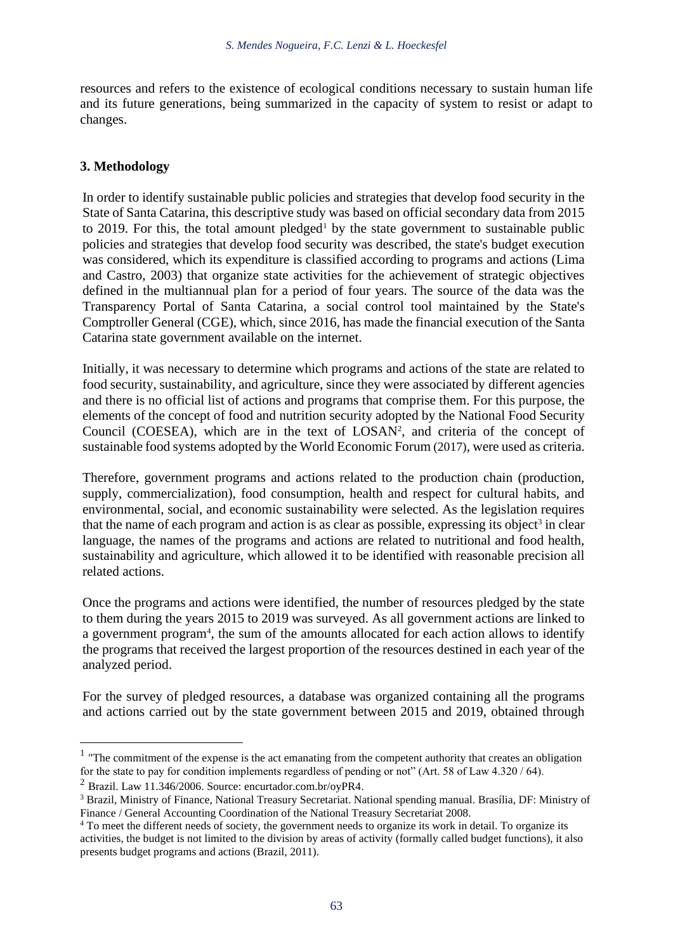resources and refers to the existence of ecological conditions necessary to sustain human life and its future generations, being summarized in the capacity of system to resist or adapt to changes.

### **3. Methodology**

In order to identify sustainable public policies and strategies that develop food security in the State of Santa Catarina, this descriptive study was based on official secondary data from 2015 to 2019. For this, the total amount pledged<sup>1</sup> by the state government to sustainable public policies and strategies that develop food security was described, the state's budget execution was considered, which its expenditure is classified according to programs and actions (Lima and Castro, 2003) that organize state activities for the achievement of strategic objectives defined in the multiannual plan for a period of four years. The source of the data was the Transparency Portal of Santa Catarina, a social control tool maintained by the State's Comptroller General (CGE), which, since 2016, has made the financial execution of the Santa Catarina state government available on the internet.

Initially, it was necessary to determine which programs and actions of the state are related to food security, sustainability, and agriculture, since they were associated by different agencies and there is no official list of actions and programs that comprise them. For this purpose, the elements of the concept of food and nutrition security adopted by the National Food Security Council (COESEA), which are in the text of  $LOSAN<sup>2</sup>$ , and criteria of the concept of sustainable food systems adopted by the World Economic Forum (2017), were used as criteria.

Therefore, government programs and actions related to the production chain (production, supply, commercialization), food consumption, health and respect for cultural habits, and environmental, social, and economic sustainability were selected. As the legislation requires that the name of each program and action is as clear as possible, expressing its object<sup>3</sup> in clear language, the names of the programs and actions are related to nutritional and food health, sustainability and agriculture, which allowed it to be identified with reasonable precision all related actions.

Once the programs and actions were identified, the number of resources pledged by the state to them during the years 2015 to 2019 was surveyed. As all government actions are linked to a government program<sup>4</sup>, the sum of the amounts allocated for each action allows to identify the programs that received the largest proportion of the resources destined in each year of the analyzed period.

For the survey of pledged resources, a database was organized containing all the programs and actions carried out by the state government between 2015 and 2019, obtained through

 $<sup>1</sup>$  "The commitment of the expense is the act emanating from the competent authority that creates an obligation</sup> for the state to pay for condition implements regardless of pending or not" (Art. 58 of Law 4.320 / 64).

 $^{2}$  Brazil. Law 11.346/2006. Source: encurtador.com.br/ovPR4.

<sup>3</sup> Brazil, Ministry of Finance, National Treasury Secretariat. National spending manual. Brasília, DF: Ministry of Finance / General Accounting Coordination of the National Treasury Secretariat 2008.

<sup>&</sup>lt;sup>4</sup> To meet the different needs of society, the government needs to organize its work in detail. To organize its activities, the budget is not limited to the division by areas of activity (formally called budget functions), it also presents budget programs and actions (Brazil, 2011).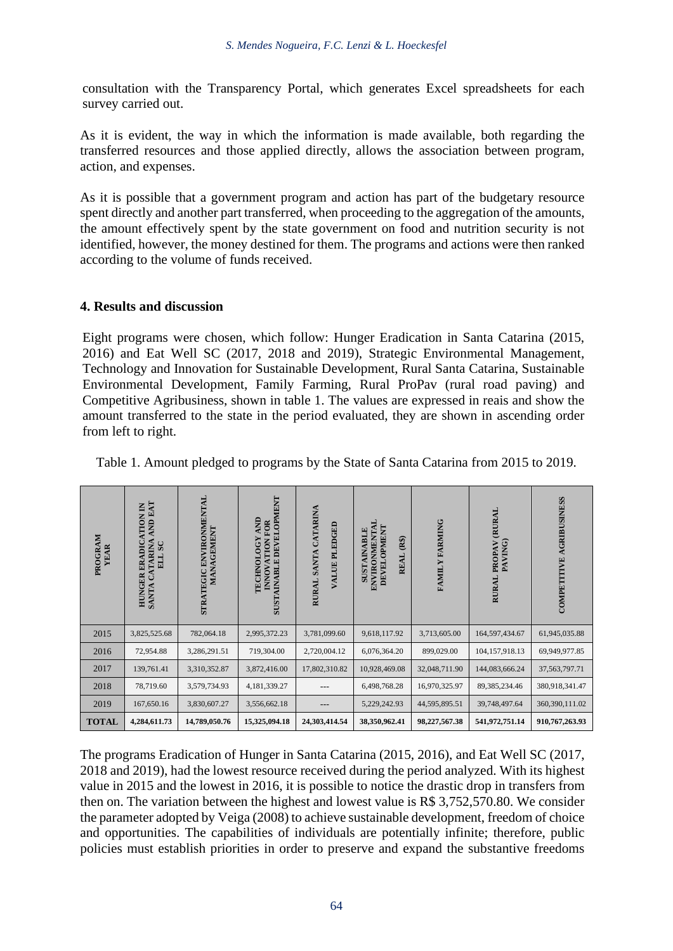consultation with the Transparency Portal, which generates Excel spreadsheets for each survey carried out.

As it is evident, the way in which the information is made available, both regarding the transferred resources and those applied directly, allows the association between program, action, and expenses.

As it is possible that a government program and action has part of the budgetary resource spent directly and another part transferred, when proceeding to the aggregation of the amounts, the amount effectively spent by the state government on food and nutrition security is not identified, however, the money destined for them. The programs and actions were then ranked according to the volume of funds received.

#### **4. Results and discussion**

Eight programs were chosen, which follow: Hunger Eradication in Santa Catarina (2015, 2016) and Eat Well SC (2017, 2018 and 2019), Strategic Environmental Management, Technology and Innovation for Sustainable Development, Rural Santa Catarina, Sustainable Environmental Development, Family Farming, Rural ProPav (rural road paving) and Competitive Agribusiness, shown in table 1. The values are expressed in reais and show the amount transferred to the state in the period evaluated, they are shown in ascending order from left to right.

| PROGRAM<br>YEAR | <b>AND EAT</b><br>HUNGER ERADICATION IN<br>CATARINA<br>ELL SC<br><b>SANTA</b> | STRATEGIC ENVIRONMENTAL<br>MANAGEMENT | <b>SUSTAINABLE DEVELOPMENT</b><br>AND<br><b>INNOVATION FOR</b><br><b>IECHNOLOGY</b> | RURAL SANTA CATARINA<br><b>VALUE PLEDGED</b> | ENVIRONMENTAI<br><b>DEVELOPMENT</b><br><b>SUSTAINABLE</b><br>$(R\$<br><b>REAL</b> | FAMILY FARMING | PROPAV (RURAL<br>PAVING)<br><b>RURAL</b> | COMPETITIVE AGRIBUSINESS |
|-----------------|-------------------------------------------------------------------------------|---------------------------------------|-------------------------------------------------------------------------------------|----------------------------------------------|-----------------------------------------------------------------------------------|----------------|------------------------------------------|--------------------------|
| 2015            | 3,825,525.68                                                                  | 782,064.18                            | 2,995,372.23                                                                        | 3,781,099.60                                 | 9,618,117.92                                                                      | 3,713,605.00   | 164,597,434.67                           | 61,945,035.88            |
| 2016            | 72,954.88                                                                     | 3,286,291.51                          | 719,304.00                                                                          | 2,720,004.12                                 | 6,076,364.20                                                                      | 899,029.00     | 104,157,918.13                           | 69,949,977.85            |
| 2017            | 139,761.41                                                                    | 3,310,352.87                          | 3,872,416.00                                                                        | 17,802,310.82                                | 10,928,469.08                                                                     | 32,048,711.90  | 144,083,666.24                           | 37, 563, 797. 71         |
| 2018            | 78,719.60                                                                     | 3,579,734.93                          | 4,181,339.27                                                                        |                                              | 6,498,768.28                                                                      | 16,970,325.97  | 89, 385, 234. 46                         | 380,918,341.47           |
| 2019            | 167,650.16                                                                    | 3,830,607.27                          | 3,556,662.18                                                                        |                                              | 5,229,242.93                                                                      | 44,595,895.51  | 39,748,497.64                            | 360,390,111.02           |
| <b>TOTAL</b>    | 4,284,611.73                                                                  | 14,789,050.76                         | 15,325,094.18                                                                       | 24,303,414.54                                | 38,350,962.41                                                                     | 98,227,567.38  | 541,972,751.14                           | 910,767,263.93           |

Table 1. Amount pledged to programs by the State of Santa Catarina from 2015 to 2019.

The programs Eradication of Hunger in Santa Catarina (2015, 2016), and Eat Well SC (2017, 2018 and 2019), had the lowest resource received during the period analyzed. With its highest value in 2015 and the lowest in 2016, it is possible to notice the drastic drop in transfers from then on. The variation between the highest and lowest value is R\$ 3,752,570.80. We consider the parameter adopted by Veiga (2008) to achieve sustainable development, freedom of choice and opportunities. The capabilities of individuals are potentially infinite; therefore, public policies must establish priorities in order to preserve and expand the substantive freedoms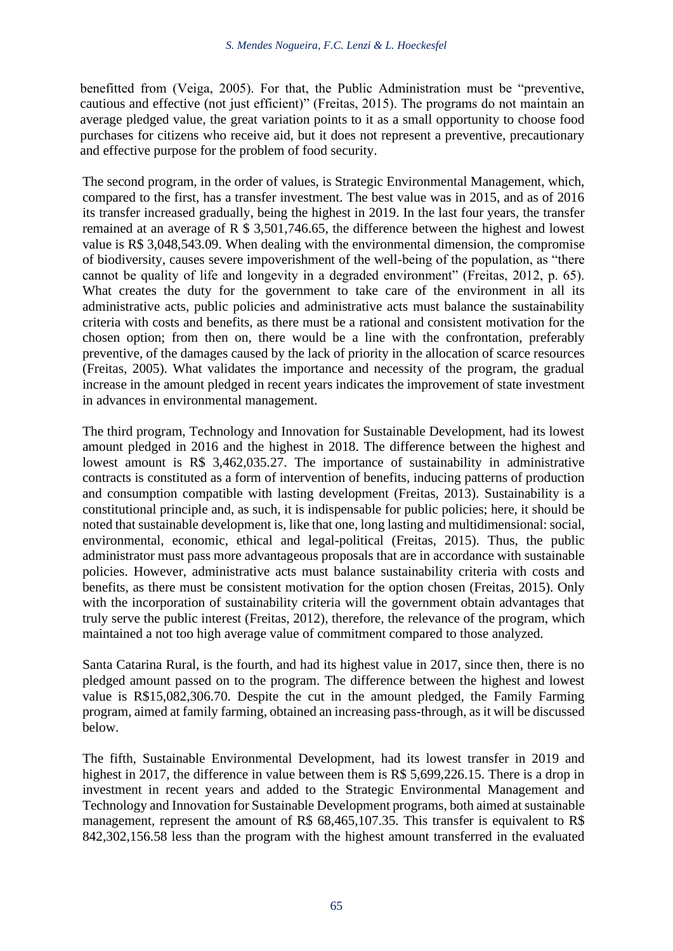benefitted from (Veiga, 2005). For that, the Public Administration must be "preventive, cautious and effective (not just efficient)" (Freitas, 2015). The programs do not maintain an average pledged value, the great variation points to it as a small opportunity to choose food purchases for citizens who receive aid, but it does not represent a preventive, precautionary and effective purpose for the problem of food security.

The second program, in the order of values, is Strategic Environmental Management, which, compared to the first, has a transfer investment. The best value was in 2015, and as of 2016 its transfer increased gradually, being the highest in 2019. In the last four years, the transfer remained at an average of R \$ 3,501,746.65, the difference between the highest and lowest value is R\$ 3,048,543.09. When dealing with the environmental dimension, the compromise of biodiversity, causes severe impoverishment of the well-being of the population, as "there cannot be quality of life and longevity in a degraded environment" (Freitas, 2012, p. 65). What creates the duty for the government to take care of the environment in all its administrative acts, public policies and administrative acts must balance the sustainability criteria with costs and benefits, as there must be a rational and consistent motivation for the chosen option; from then on, there would be a line with the confrontation, preferably preventive, of the damages caused by the lack of priority in the allocation of scarce resources (Freitas, 2005). What validates the importance and necessity of the program, the gradual increase in the amount pledged in recent years indicates the improvement of state investment in advances in environmental management.

The third program, Technology and Innovation for Sustainable Development, had its lowest amount pledged in 2016 and the highest in 2018. The difference between the highest and lowest amount is R\$ 3,462,035.27. The importance of sustainability in administrative contracts is constituted as a form of intervention of benefits, inducing patterns of production and consumption compatible with lasting development (Freitas, 2013). Sustainability is a constitutional principle and, as such, it is indispensable for public policies; here, it should be noted that sustainable development is, like that one, long lasting and multidimensional: social, environmental, economic, ethical and legal-political (Freitas, 2015). Thus, the public administrator must pass more advantageous proposals that are in accordance with sustainable policies. However, administrative acts must balance sustainability criteria with costs and benefits, as there must be consistent motivation for the option chosen (Freitas, 2015). Only with the incorporation of sustainability criteria will the government obtain advantages that truly serve the public interest (Freitas, 2012), therefore, the relevance of the program, which maintained a not too high average value of commitment compared to those analyzed.

Santa Catarina Rural, is the fourth, and had its highest value in 2017, since then, there is no pledged amount passed on to the program. The difference between the highest and lowest value is R\$15,082,306.70. Despite the cut in the amount pledged, the Family Farming program, aimed at family farming, obtained an increasing pass-through, as it will be discussed below.

The fifth, Sustainable Environmental Development, had its lowest transfer in 2019 and highest in 2017, the difference in value between them is R\$ 5,699,226.15. There is a drop in investment in recent years and added to the Strategic Environmental Management and Technology and Innovation for Sustainable Development programs, both aimed at sustainable management, represent the amount of R\$ 68,465,107.35. This transfer is equivalent to R\$ 842,302,156.58 less than the program with the highest amount transferred in the evaluated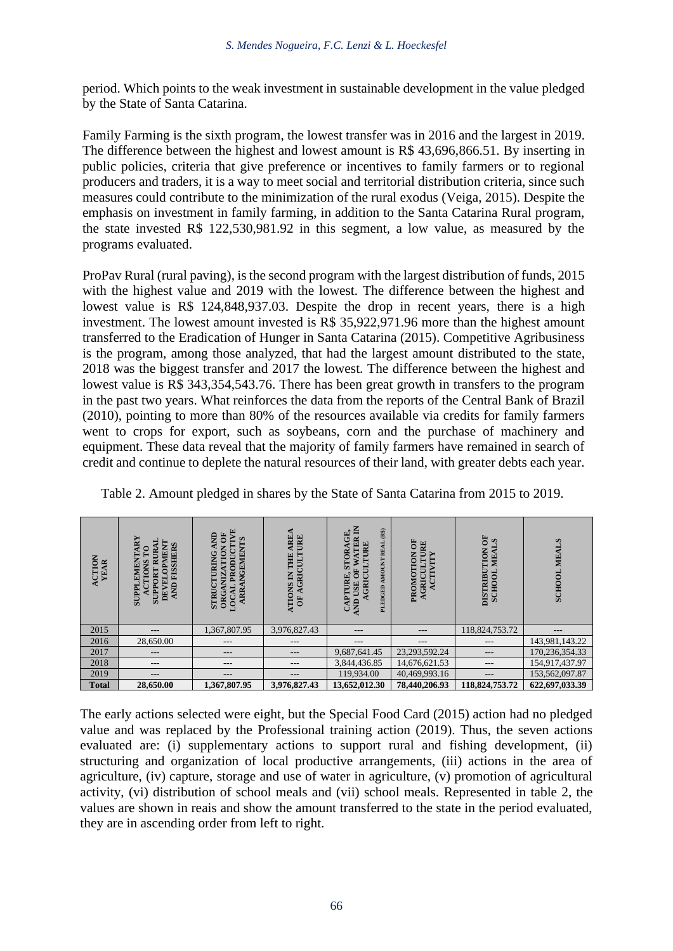period. Which points to the weak investment in sustainable development in the value pledged by the State of Santa Catarina.

Family Farming is the sixth program, the lowest transfer was in 2016 and the largest in 2019. The difference between the highest and lowest amount is R\$ 43,696,866.51. By inserting in public policies, criteria that give preference or incentives to family farmers or to regional producers and traders, it is a way to meet social and territorial distribution criteria, since such measures could contribute to the minimization of the rural exodus (Veiga, 2015). Despite the emphasis on investment in family farming, in addition to the Santa Catarina Rural program, the state invested R\$ 122,530,981.92 in this segment, a low value, as measured by the programs evaluated.

ProPav Rural (rural paving), is the second program with the largest distribution of funds, 2015 with the highest value and 2019 with the lowest. The difference between the highest and lowest value is R\$ 124,848,937.03. Despite the drop in recent years, there is a high investment. The lowest amount invested is R\$ 35,922,971.96 more than the highest amount transferred to the Eradication of Hunger in Santa Catarina (2015). Competitive Agribusiness is the program, among those analyzed, that had the largest amount distributed to the state, 2018 was the biggest transfer and 2017 the lowest. The difference between the highest and lowest value is R\$ 343,354,543.76. There has been great growth in transfers to the program in the past two years. What reinforces the data from the reports of the Central Bank of Brazil (2010), pointing to more than 80% of the resources available via credits for family farmers went to crops for export, such as soybeans, corn and the purchase of machinery and equipment. These data reveal that the majority of family farmers have remained in search of credit and continue to deplete the natural resources of their land, with greater debts each year.

| ACTION<br><b>YEAR</b> | $\mathbf{R}\mathbf{Y}$<br><b>RURAI</b><br><b>DEVELOPMENT</b><br><b>FISSHERS</b><br>$\mathbf{c}$<br><b>EMENT</b><br><b>CTIONS</b><br><b>SUPPORT</b><br>Ę<br>Ξ<br><b>HELIS</b> | PRODUCTIVE<br>$\ddot{\bm{\theta}}$<br><b>QNV</b><br><b>NGEMENTS</b><br><b>NOIT</b><br>TURING<br><b>ORGANIZ</b><br><b>STRUC</b><br>LOCAL<br><b>ARR</b> | <b>AREA</b><br>URE<br>AGRICULT<br>THE<br><b>ATIONS IN</b><br>$\ddot{\bf{5}}$ | STORAGE,<br>WATER IN<br>PLEDGED AMOUNT REAL (R\$)<br><b>TURE</b><br>STORA<br>GRICUL<br><b>USE OF</b><br>TURE<br>P,<br><b>AND</b> | PROMOTION OF<br><b>AGRICULTURE</b><br>ACTIVITY | 5<br><b>MEALS</b><br>DISTRIBUTION<br><b>TOOHOO</b> | <b>SCHOOL MEALS</b> |
|-----------------------|------------------------------------------------------------------------------------------------------------------------------------------------------------------------------|-------------------------------------------------------------------------------------------------------------------------------------------------------|------------------------------------------------------------------------------|----------------------------------------------------------------------------------------------------------------------------------|------------------------------------------------|----------------------------------------------------|---------------------|
| 2015                  | $- - -$                                                                                                                                                                      | 1,367,807.95                                                                                                                                          | 3,976,827.43                                                                 | $---$                                                                                                                            | ---                                            | 118,824,753.72                                     | $- - -$             |
| 2016                  | 28,650.00                                                                                                                                                                    | $- - -$                                                                                                                                               | ---                                                                          | $- - -$                                                                                                                          | ---                                            | ---                                                | 143,981,143.22      |
| 2017                  | $---$                                                                                                                                                                        | ---                                                                                                                                                   | ---                                                                          | 9,687,641.45                                                                                                                     | 23,293,592.24                                  | ---                                                | 170,236,354.33      |
| 2018                  | $- - -$                                                                                                                                                                      | $---$                                                                                                                                                 | $- - -$                                                                      | 3,844,436.85                                                                                                                     | 14,676,621.53                                  | $---$                                              | 154,917,437.97      |
| 2019                  | $---$                                                                                                                                                                        | ---                                                                                                                                                   | ---                                                                          | 119,934.00                                                                                                                       | 40,469,993.16                                  | ---                                                | 153,562,097.87      |
| <b>Total</b>          | 28,650.00                                                                                                                                                                    | 1,367,807.95                                                                                                                                          | 3,976,827.43                                                                 | 13,652,012.30                                                                                                                    | 78,440,206.93                                  | 118,824,753.72                                     | 622,697,033.39      |

Table 2. Amount pledged in shares by the State of Santa Catarina from 2015 to 2019.

The early actions selected were eight, but the Special Food Card (2015) action had no pledged value and was replaced by the Professional training action (2019). Thus, the seven actions evaluated are: (i) supplementary actions to support rural and fishing development, (ii) structuring and organization of local productive arrangements, (iii) actions in the area of agriculture, (iv) capture, storage and use of water in agriculture, (v) promotion of agricultural activity, (vi) distribution of school meals and (vii) school meals. Represented in table 2, the values are shown in reais and show the amount transferred to the state in the period evaluated, they are in ascending order from left to right.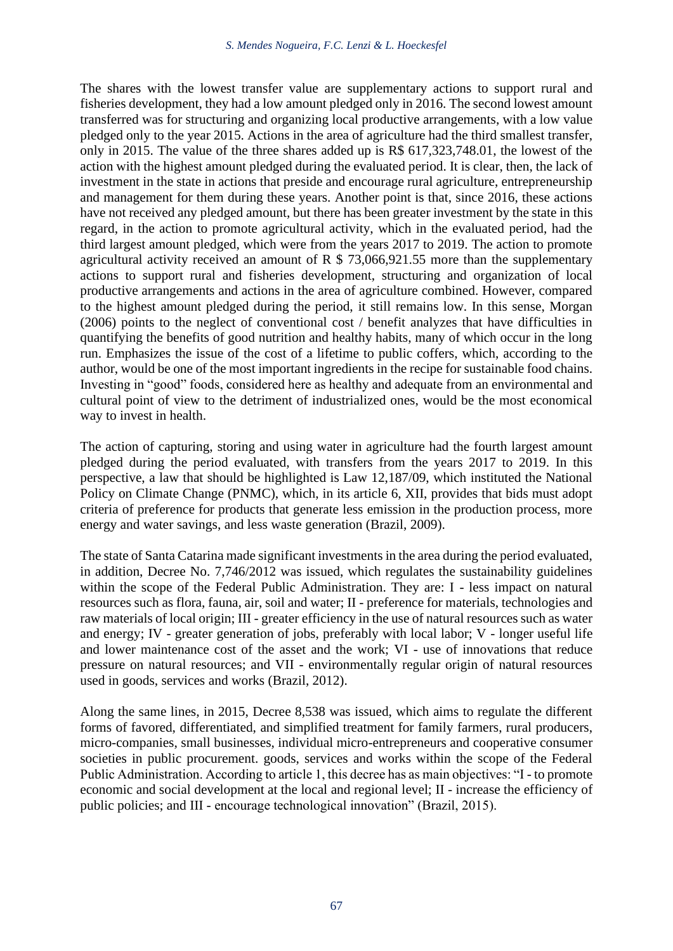The shares with the lowest transfer value are supplementary actions to support rural and fisheries development, they had a low amount pledged only in 2016. The second lowest amount transferred was for structuring and organizing local productive arrangements, with a low value pledged only to the year 2015. Actions in the area of agriculture had the third smallest transfer, only in 2015. The value of the three shares added up is R\$ 617,323,748.01, the lowest of the action with the highest amount pledged during the evaluated period. It is clear, then, the lack of investment in the state in actions that preside and encourage rural agriculture, entrepreneurship and management for them during these years. Another point is that, since 2016, these actions have not received any pledged amount, but there has been greater investment by the state in this regard, in the action to promote agricultural activity, which in the evaluated period, had the third largest amount pledged, which were from the years 2017 to 2019. The action to promote agricultural activity received an amount of R  $$ 73,066,921.55$  more than the supplementary actions to support rural and fisheries development, structuring and organization of local productive arrangements and actions in the area of agriculture combined. However, compared to the highest amount pledged during the period, it still remains low. In this sense, Morgan (2006) points to the neglect of conventional cost / benefit analyzes that have difficulties in quantifying the benefits of good nutrition and healthy habits, many of which occur in the long run. Emphasizes the issue of the cost of a lifetime to public coffers, which, according to the author, would be one of the most important ingredients in the recipe for sustainable food chains. Investing in "good" foods, considered here as healthy and adequate from an environmental and cultural point of view to the detriment of industrialized ones, would be the most economical way to invest in health.

The action of capturing, storing and using water in agriculture had the fourth largest amount pledged during the period evaluated, with transfers from the years 2017 to 2019. In this perspective, a law that should be highlighted is Law 12,187/09, which instituted the National Policy on Climate Change (PNMC), which, in its article 6, XII, provides that bids must adopt criteria of preference for products that generate less emission in the production process, more energy and water savings, and less waste generation (Brazil, 2009).

The state of Santa Catarina made significant investments in the area during the period evaluated, in addition, Decree No. 7,746/2012 was issued, which regulates the sustainability guidelines within the scope of the Federal Public Administration. They are: I - less impact on natural resources such as flora, fauna, air, soil and water; II - preference for materials, technologies and raw materials of local origin; III - greater efficiency in the use of natural resources such as water and energy; IV - greater generation of jobs, preferably with local labor; V - longer useful life and lower maintenance cost of the asset and the work; VI - use of innovations that reduce pressure on natural resources; and VII - environmentally regular origin of natural resources used in goods, services and works (Brazil, 2012).

Along the same lines, in 2015, Decree 8,538 was issued, which aims to regulate the different forms of favored, differentiated, and simplified treatment for family farmers, rural producers, micro-companies, small businesses, individual micro-entrepreneurs and cooperative consumer societies in public procurement. goods, services and works within the scope of the Federal Public Administration. According to article 1, this decree has as main objectives: "I - to promote economic and social development at the local and regional level; II - increase the efficiency of public policies; and III - encourage technological innovation" (Brazil, 2015).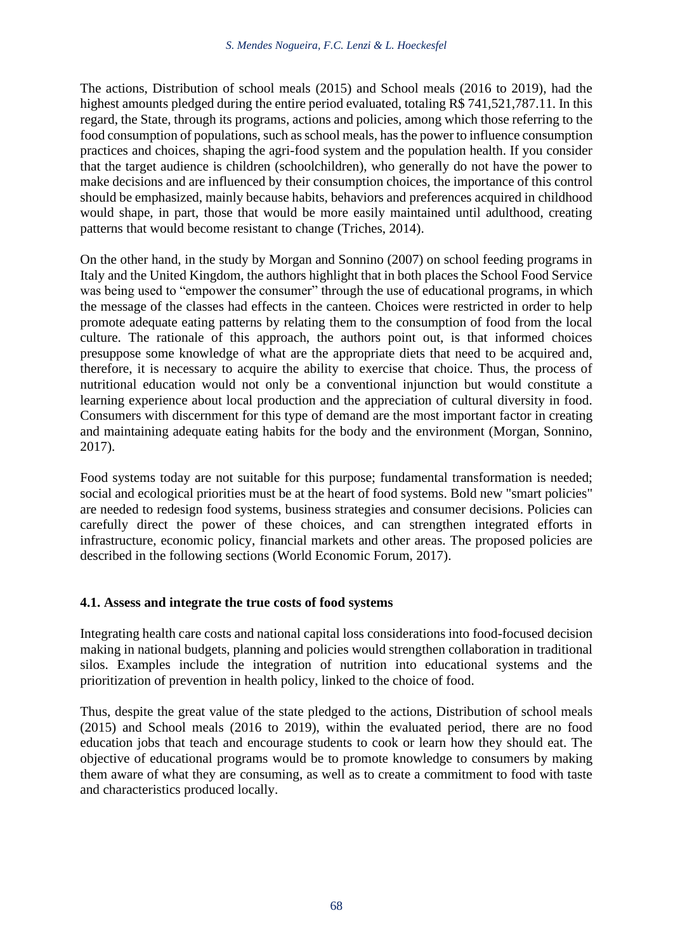The actions, Distribution of school meals (2015) and School meals (2016 to 2019), had the highest amounts pledged during the entire period evaluated, totaling R\$ 741,521,787.11. In this regard, the State, through its programs, actions and policies, among which those referring to the food consumption of populations, such as school meals, has the power to influence consumption practices and choices, shaping the agri-food system and the population health. If you consider that the target audience is children (schoolchildren), who generally do not have the power to make decisions and are influenced by their consumption choices, the importance of this control should be emphasized, mainly because habits, behaviors and preferences acquired in childhood would shape, in part, those that would be more easily maintained until adulthood, creating patterns that would become resistant to change (Triches, 2014).

On the other hand, in the study by Morgan and Sonnino (2007) on school feeding programs in Italy and the United Kingdom, the authors highlight that in both places the School Food Service was being used to "empower the consumer" through the use of educational programs, in which the message of the classes had effects in the canteen. Choices were restricted in order to help promote adequate eating patterns by relating them to the consumption of food from the local culture. The rationale of this approach, the authors point out, is that informed choices presuppose some knowledge of what are the appropriate diets that need to be acquired and, therefore, it is necessary to acquire the ability to exercise that choice. Thus, the process of nutritional education would not only be a conventional injunction but would constitute a learning experience about local production and the appreciation of cultural diversity in food. Consumers with discernment for this type of demand are the most important factor in creating and maintaining adequate eating habits for the body and the environment (Morgan, Sonnino, 2017).

Food systems today are not suitable for this purpose; fundamental transformation is needed; social and ecological priorities must be at the heart of food systems. Bold new "smart policies" are needed to redesign food systems, business strategies and consumer decisions. Policies can carefully direct the power of these choices, and can strengthen integrated efforts in infrastructure, economic policy, financial markets and other areas. The proposed policies are described in the following sections (World Economic Forum, 2017).

# **4.1. Assess and integrate the true costs of food systems**

Integrating health care costs and national capital loss considerations into food-focused decision making in national budgets, planning and policies would strengthen collaboration in traditional silos. Examples include the integration of nutrition into educational systems and the prioritization of prevention in health policy, linked to the choice of food.

Thus, despite the great value of the state pledged to the actions, Distribution of school meals (2015) and School meals (2016 to 2019), within the evaluated period, there are no food education jobs that teach and encourage students to cook or learn how they should eat. The objective of educational programs would be to promote knowledge to consumers by making them aware of what they are consuming, as well as to create a commitment to food with taste and characteristics produced locally.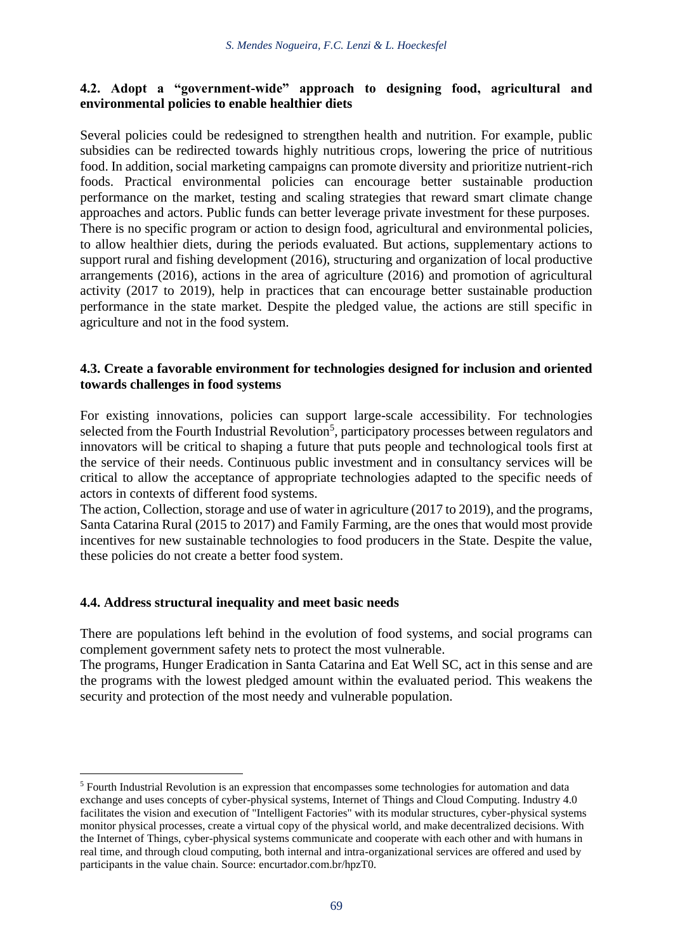# **4.2. Adopt a "government-wide" approach to designing food, agricultural and environmental policies to enable healthier diets**

Several policies could be redesigned to strengthen health and nutrition. For example, public subsidies can be redirected towards highly nutritious crops, lowering the price of nutritious food. In addition, social marketing campaigns can promote diversity and prioritize nutrient-rich foods. Practical environmental policies can encourage better sustainable production performance on the market, testing and scaling strategies that reward smart climate change approaches and actors. Public funds can better leverage private investment for these purposes. There is no specific program or action to design food, agricultural and environmental policies, to allow healthier diets, during the periods evaluated. But actions, supplementary actions to support rural and fishing development (2016), structuring and organization of local productive arrangements (2016), actions in the area of agriculture (2016) and promotion of agricultural activity (2017 to 2019), help in practices that can encourage better sustainable production performance in the state market. Despite the pledged value, the actions are still specific in agriculture and not in the food system.

### **4.3. Create a favorable environment for technologies designed for inclusion and oriented towards challenges in food systems**

For existing innovations, policies can support large-scale accessibility. For technologies selected from the Fourth Industrial Revolution<sup>5</sup>, participatory processes between regulators and innovators will be critical to shaping a future that puts people and technological tools first at the service of their needs. Continuous public investment and in consultancy services will be critical to allow the acceptance of appropriate technologies adapted to the specific needs of actors in contexts of different food systems.

The action, Collection, storage and use of water in agriculture (2017 to 2019), and the programs, Santa Catarina Rural (2015 to 2017) and Family Farming, are the ones that would most provide incentives for new sustainable technologies to food producers in the State. Despite the value, these policies do not create a better food system.

# **4.4. Address structural inequality and meet basic needs**

There are populations left behind in the evolution of food systems, and social programs can complement government safety nets to protect the most vulnerable.

The programs, Hunger Eradication in Santa Catarina and Eat Well SC, act in this sense and are the programs with the lowest pledged amount within the evaluated period. This weakens the security and protection of the most needy and vulnerable population.

<sup>5</sup> Fourth Industrial Revolution is an expression that encompasses some technologies for automation and data exchange and uses concepts of cyber-physical systems, Internet of Things and Cloud Computing. Industry 4.0 facilitates the vision and execution of "Intelligent Factories" with its modular structures, cyber-physical systems monitor physical processes, create a virtual copy of the physical world, and make decentralized decisions. With the Internet of Things, cyber-physical systems communicate and cooperate with each other and with humans in real time, and through cloud computing, both internal and intra-organizational services are offered and used by participants in the value chain. Source: encurtador.com.br/hpzT0.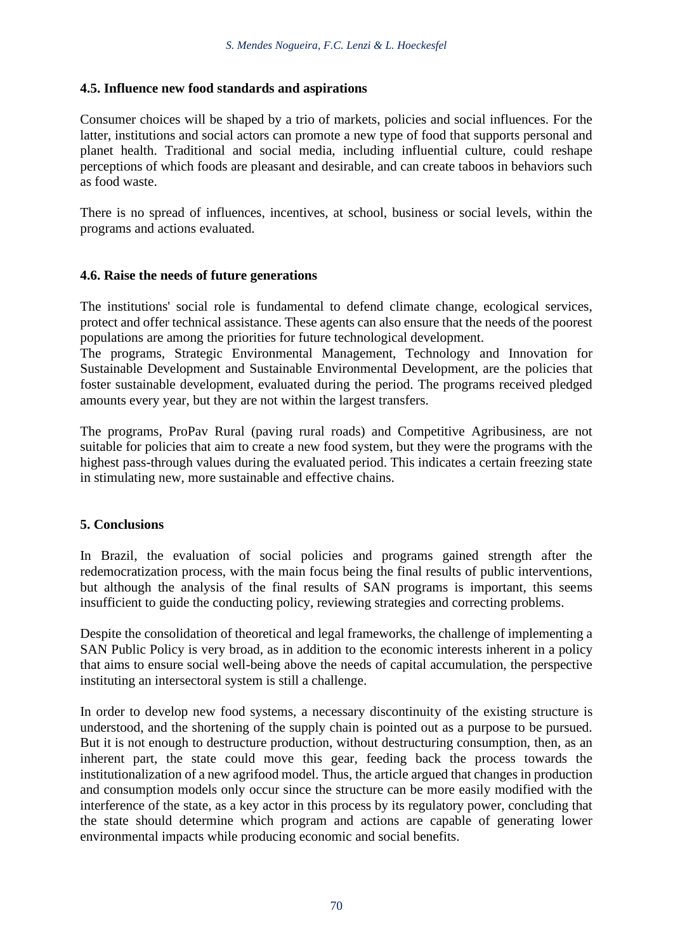### **4.5. Influence new food standards and aspirations**

Consumer choices will be shaped by a trio of markets, policies and social influences. For the latter, institutions and social actors can promote a new type of food that supports personal and planet health. Traditional and social media, including influential culture, could reshape perceptions of which foods are pleasant and desirable, and can create taboos in behaviors such as food waste.

There is no spread of influences, incentives, at school, business or social levels, within the programs and actions evaluated.

### **4.6. Raise the needs of future generations**

The institutions' social role is fundamental to defend climate change, ecological services, protect and offer technical assistance. These agents can also ensure that the needs of the poorest populations are among the priorities for future technological development.

The programs, Strategic Environmental Management, Technology and Innovation for Sustainable Development and Sustainable Environmental Development, are the policies that foster sustainable development, evaluated during the period. The programs received pledged amounts every year, but they are not within the largest transfers.

The programs, ProPav Rural (paving rural roads) and Competitive Agribusiness, are not suitable for policies that aim to create a new food system, but they were the programs with the highest pass-through values during the evaluated period. This indicates a certain freezing state in stimulating new, more sustainable and effective chains.

#### **5. Conclusions**

In Brazil, the evaluation of social policies and programs gained strength after the redemocratization process, with the main focus being the final results of public interventions, but although the analysis of the final results of SAN programs is important, this seems insufficient to guide the conducting policy, reviewing strategies and correcting problems.

Despite the consolidation of theoretical and legal frameworks, the challenge of implementing a SAN Public Policy is very broad, as in addition to the economic interests inherent in a policy that aims to ensure social well-being above the needs of capital accumulation, the perspective instituting an intersectoral system is still a challenge.

In order to develop new food systems, a necessary discontinuity of the existing structure is understood, and the shortening of the supply chain is pointed out as a purpose to be pursued. But it is not enough to destructure production, without destructuring consumption, then, as an inherent part, the state could move this gear, feeding back the process towards the institutionalization of a new agrifood model. Thus, the article argued that changes in production and consumption models only occur since the structure can be more easily modified with the interference of the state, as a key actor in this process by its regulatory power, concluding that the state should determine which program and actions are capable of generating lower environmental impacts while producing economic and social benefits.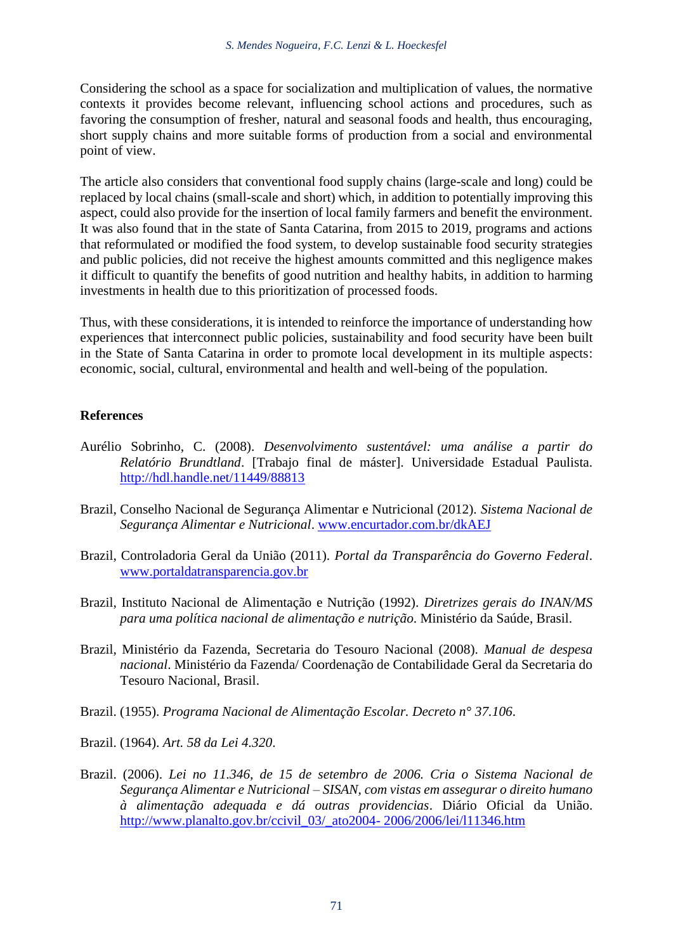Considering the school as a space for socialization and multiplication of values, the normative contexts it provides become relevant, influencing school actions and procedures, such as favoring the consumption of fresher, natural and seasonal foods and health, thus encouraging, short supply chains and more suitable forms of production from a social and environmental point of view.

The article also considers that conventional food supply chains (large-scale and long) could be replaced by local chains (small-scale and short) which, in addition to potentially improving this aspect, could also provide for the insertion of local family farmers and benefit the environment. It was also found that in the state of Santa Catarina, from 2015 to 2019, programs and actions that reformulated or modified the food system, to develop sustainable food security strategies and public policies, did not receive the highest amounts committed and this negligence makes it difficult to quantify the benefits of good nutrition and healthy habits, in addition to harming investments in health due to this prioritization of processed foods.

Thus, with these considerations, it is intended to reinforce the importance of understanding how experiences that interconnect public policies, sustainability and food security have been built in the State of Santa Catarina in order to promote local development in its multiple aspects: economic, social, cultural, environmental and health and well-being of the population.

#### **References**

- Aurélio Sobrinho, C. (2008). *Desenvolvimento sustentável: uma análise a partir do Relatório Brundtland*. [Trabajo final de máster]. Universidade Estadual Paulista. <http://hdl.handle.net/11449/88813>
- Brazil, Conselho Nacional de Segurança Alimentar e Nutricional (2012). *Sistema Nacional de Segurança Alimentar e Nutricional*. [www.encurtador.com.br/dkAEJ](http://www.encurtador.com.br/dkAEJ)
- Brazil, Controladoria Geral da União (2011). *Portal da Transparência do Governo Federal*. <www.portaldatransparencia.gov.br>
- Brazil, Instituto Nacional de Alimentação e Nutrição (1992). *Diretrizes gerais do INAN/MS para uma política nacional de alimentação e nutrição*. Ministério da Saúde, Brasil.
- Brazil, Ministério da Fazenda, Secretaria do Tesouro Nacional (2008). *Manual de despesa nacional*. Ministério da Fazenda/ Coordenação de Contabilidade Geral da Secretaria do Tesouro Nacional, Brasil.
- Brazil. (1955). *Programa Nacional de Alimentação Escolar. Decreto n° 37.106*.
- Brazil. (1964). *Art. 58 da Lei 4.320*.
- Brazil. (2006). *Lei no 11.346, de 15 de setembro de 2006. Cria o Sistema Nacional de Segurança Alimentar e Nutricional – SISAN, com vistas em assegurar o direito humano à alimentação adequada e dá outras providencias*. Diário Oficial da União. [http://www.planalto.gov.br/ccivil\\_03/\\_ato2004-](http://www.planalto.gov.br/ccivil_03/_ato2004-%202006/2006/lei/l11346.htm.) 2006/2006/lei/l11346.htm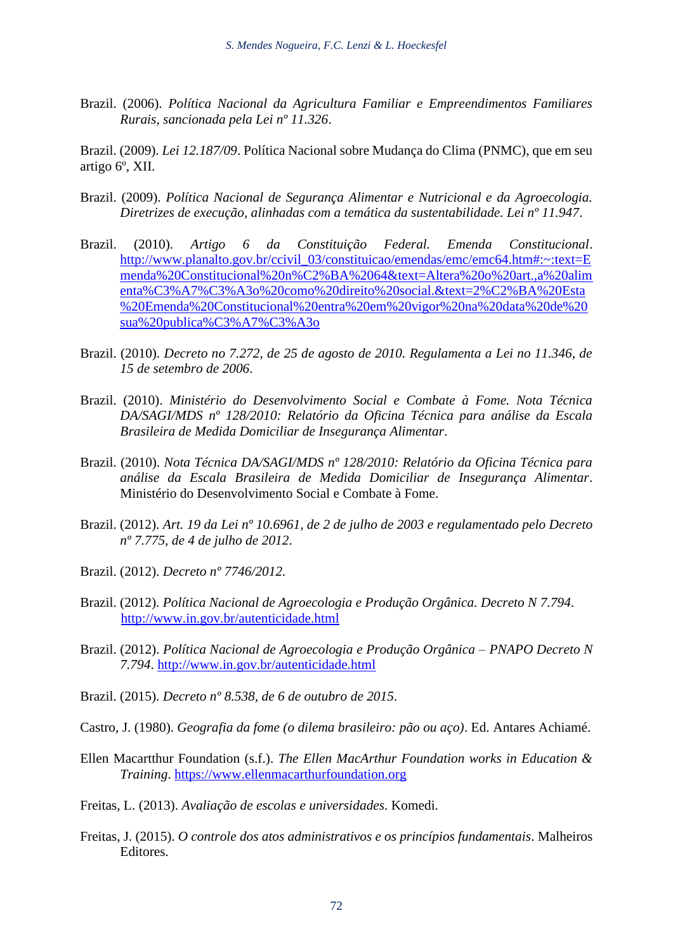Brazil. (2006). *Política Nacional da Agricultura Familiar e Empreendimentos Familiares Rurais, sancionada pela Lei nº 11.326*.

Brazil. (2009). *Lei 12.187/09*. Política Nacional sobre Mudança do Clima (PNMC), que em seu artigo 6º, XII.

- Brazil. (2009). *Política Nacional de Segurança Alimentar e Nutricional e da Agroecologia. Diretrizes de execução, alinhadas com a temática da sustentabilidade. Lei nº 11.947*.
- Brazil. (2010). *Artigo 6 da Constituição Federal. Emenda Constitucional*. [http://www.planalto.gov.br/ccivil\\_03/constituicao/emendas/emc/emc64.htm#:~:text=E](http://www.planalto.gov.br/ccivil_03/constituicao/emendas/emc/emc64.htm%23:~:text=Emenda%20Constitucional%20n%C2%BA%2064&text=Altera%20o%20art.,a%20alimenta%C3%A7%C3%A3o%20como%20direito%20social.&text=2%C2%BA%20Esta%20Emenda%20Constitucional%20entra%20em%20vigor%20na%20data%20de%20sua%20publica%C3%A7%C3%A3o) [menda%20Constitucional%20n%C2%BA%2064&text=Altera%20o%20art.,a%20alim](http://www.planalto.gov.br/ccivil_03/constituicao/emendas/emc/emc64.htm%23:~:text=Emenda%20Constitucional%20n%C2%BA%2064&text=Altera%20o%20art.,a%20alimenta%C3%A7%C3%A3o%20como%20direito%20social.&text=2%C2%BA%20Esta%20Emenda%20Constitucional%20entra%20em%20vigor%20na%20data%20de%20sua%20publica%C3%A7%C3%A3o) [enta%C3%A7%C3%A3o%20como%20direito%20social.&text=2%C2%BA%20Esta](http://www.planalto.gov.br/ccivil_03/constituicao/emendas/emc/emc64.htm%23:~:text=Emenda%20Constitucional%20n%C2%BA%2064&text=Altera%20o%20art.,a%20alimenta%C3%A7%C3%A3o%20como%20direito%20social.&text=2%C2%BA%20Esta%20Emenda%20Constitucional%20entra%20em%20vigor%20na%20data%20de%20sua%20publica%C3%A7%C3%A3o) [%20Emenda%20Constitucional%20entra%20em%20vigor%20na%20data%20de%20](http://www.planalto.gov.br/ccivil_03/constituicao/emendas/emc/emc64.htm%23:~:text=Emenda%20Constitucional%20n%C2%BA%2064&text=Altera%20o%20art.,a%20alimenta%C3%A7%C3%A3o%20como%20direito%20social.&text=2%C2%BA%20Esta%20Emenda%20Constitucional%20entra%20em%20vigor%20na%20data%20de%20sua%20publica%C3%A7%C3%A3o) [sua%20publica%C3%A7%C3%A3o](http://www.planalto.gov.br/ccivil_03/constituicao/emendas/emc/emc64.htm%23:~:text=Emenda%20Constitucional%20n%C2%BA%2064&text=Altera%20o%20art.,a%20alimenta%C3%A7%C3%A3o%20como%20direito%20social.&text=2%C2%BA%20Esta%20Emenda%20Constitucional%20entra%20em%20vigor%20na%20data%20de%20sua%20publica%C3%A7%C3%A3o)
- Brazil. (2010). *Decreto no 7.272, de 25 de agosto de 2010. Regulamenta a Lei no 11.346, de 15 de setembro de 2006*.
- Brazil. (2010). *Ministério do Desenvolvimento Social e Combate à Fome. Nota Técnica DA/SAGI/MDS nº 128/2010: Relatório da Oficina Técnica para análise da Escala Brasileira de Medida Domiciliar de Insegurança Alimentar*.
- Brazil. (2010). *Nota Técnica DA/SAGI/MDS nº 128/2010: Relatório da Oficina Técnica para análise da Escala Brasileira de Medida Domiciliar de Insegurança Alimentar*. Ministério do Desenvolvimento Social e Combate à Fome.
- Brazil. (2012). *Art. 19 da Lei nº 10.6961, de 2 de julho de 2003 e regulamentado pelo Decreto nº 7.775, de 4 de julho de 2012*.
- Brazil. (2012). *Decreto nº 7746/2012.*
- Brazil. (2012). *Política Nacional de Agroecologia e Produção Orgânica. Decreto N 7.794*. <http://www.in.gov.br/autenticidade.html>
- Brazil. (2012). *Política Nacional de Agroecologia e Produção Orgânica – PNAPO Decreto N 7.794*.<http://www.in.gov.br/autenticidade.html>
- Brazil. (2015). *Decreto nº 8.538, de 6 de outubro de 2015*.
- Castro, J. (1980). *Geografia da fome (o dilema brasileiro: pão ou aço)*. Ed. Antares Achiamé.
- Ellen Macartthur Foundation (s.f.). *The Ellen MacArthur Foundation works in Education & Training*. [https://www.ellenmacarthurfoundation.org](https://www.ellenmacarthurfoundation.org/)
- Freitas, L. (2013). *Avaliação de escolas e universidades*. Komedi.
- Freitas, J. (2015). *O controle dos atos administrativos e os princípios fundamentais*. Malheiros Editores.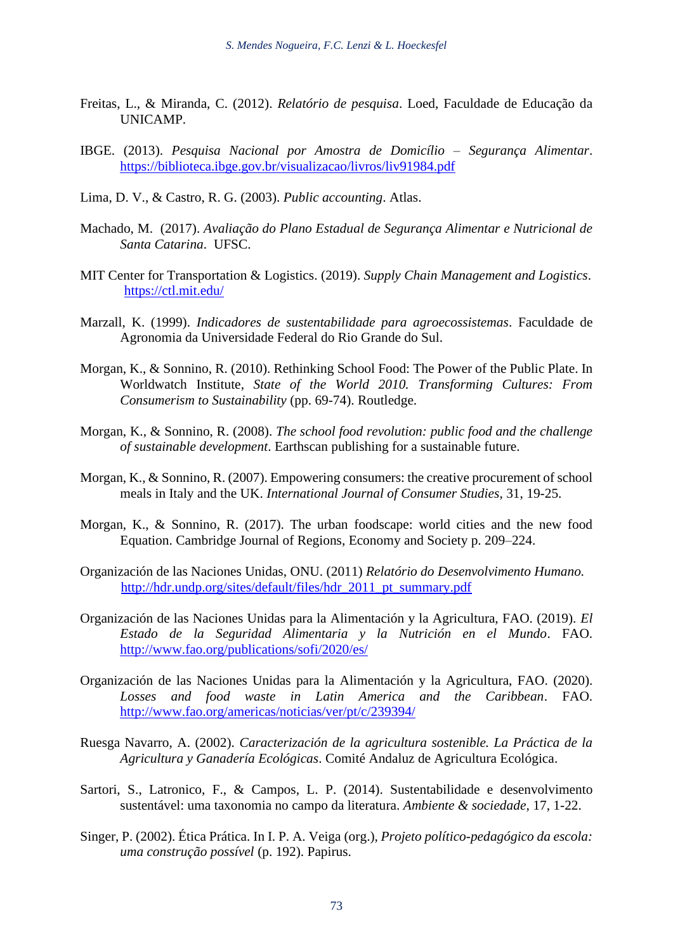- Freitas, L., & Miranda, C. (2012). *Relatório de pesquisa*. Loed, Faculdade de Educação da UNICAMP.
- IBGE. (2013). *Pesquisa Nacional por Amostra de Domicílio – Segurança Alimentar*. <https://biblioteca.ibge.gov.br/visualizacao/livros/liv91984.pdf>
- Lima, D. V., & Castro, R. G. (2003). *Public accounting*. Atlas.
- Machado, M. (2017). *Avaliação do Plano Estadual de Segurança Alimentar e Nutricional de Santa Catarina*. UFSC.
- MIT Center for Transportation & Logistics. (2019). *Supply Chain Management and Logistics*. <https://ctl.mit.edu/>
- Marzall, K. (1999). *Indicadores de sustentabilidade para agroecossistemas*. Faculdade de Agronomia da Universidade Federal do Rio Grande do Sul.
- Morgan, K., & Sonnino, R. (2010). Rethinking School Food: The Power of the Public Plate. In Worldwatch Institute, *State of the World 2010. Transforming Cultures: From Consumerism to Sustainability* (pp. 69-74). Routledge.
- Morgan, K., & Sonnino, R. (2008). *The school food revolution: public food and the challenge of sustainable development*. Earthscan publishing for a sustainable future.
- Morgan, K., & Sonnino, R. (2007). Empowering consumers: the creative procurement of school meals in Italy and the UK. *International Journal of Consumer Studies*, 31, 19-25.
- Morgan, K., & Sonnino, R. (2017). The urban foodscape: world cities and the new food Equation. Cambridge Journal of Regions, Economy and Society p. 209–224.
- Organización de las Naciones Unidas, ONU. (2011) *Relatório do Desenvolvimento Humano.* [http://hdr.undp.org/sites/default/files/hdr\\_2011\\_pt\\_summary.pdf](http://hdr.undp.org/sites/default/files/hdr_2011_pt_summary.pdf)
- Organización de las Naciones Unidas para la Alimentación y la Agricultura, FAO. (2019). *El Estado de la Seguridad Alimentaria y la Nutrición en el Mundo*. FAO. <http://www.fao.org/publications/sofi/2020/es/>
- Organización de las Naciones Unidas para la Alimentación y la Agricultura, FAO. (2020). *Losses and food waste in Latin America and the Caribbean*. FAO. <http://www.fao.org/americas/noticias/ver/pt/c/239394/>
- Ruesga Navarro, A. (2002). *Caracterización de la agricultura sostenible. La Práctica de la Agricultura y Ganadería Ecológicas*. Comité Andaluz de Agricultura Ecológica.
- Sartori, S., Latronico, F., & Campos, L. P. (2014). Sustentabilidade e desenvolvimento sustentável: uma taxonomia no campo da literatura. *Ambiente & sociedade*, 17, 1-22.
- Singer, P. (2002). Ética Prática. In I. P. A. Veiga (org.), *Projeto político-pedagógico da escola: uma construção possível* (p. 192). Papirus.